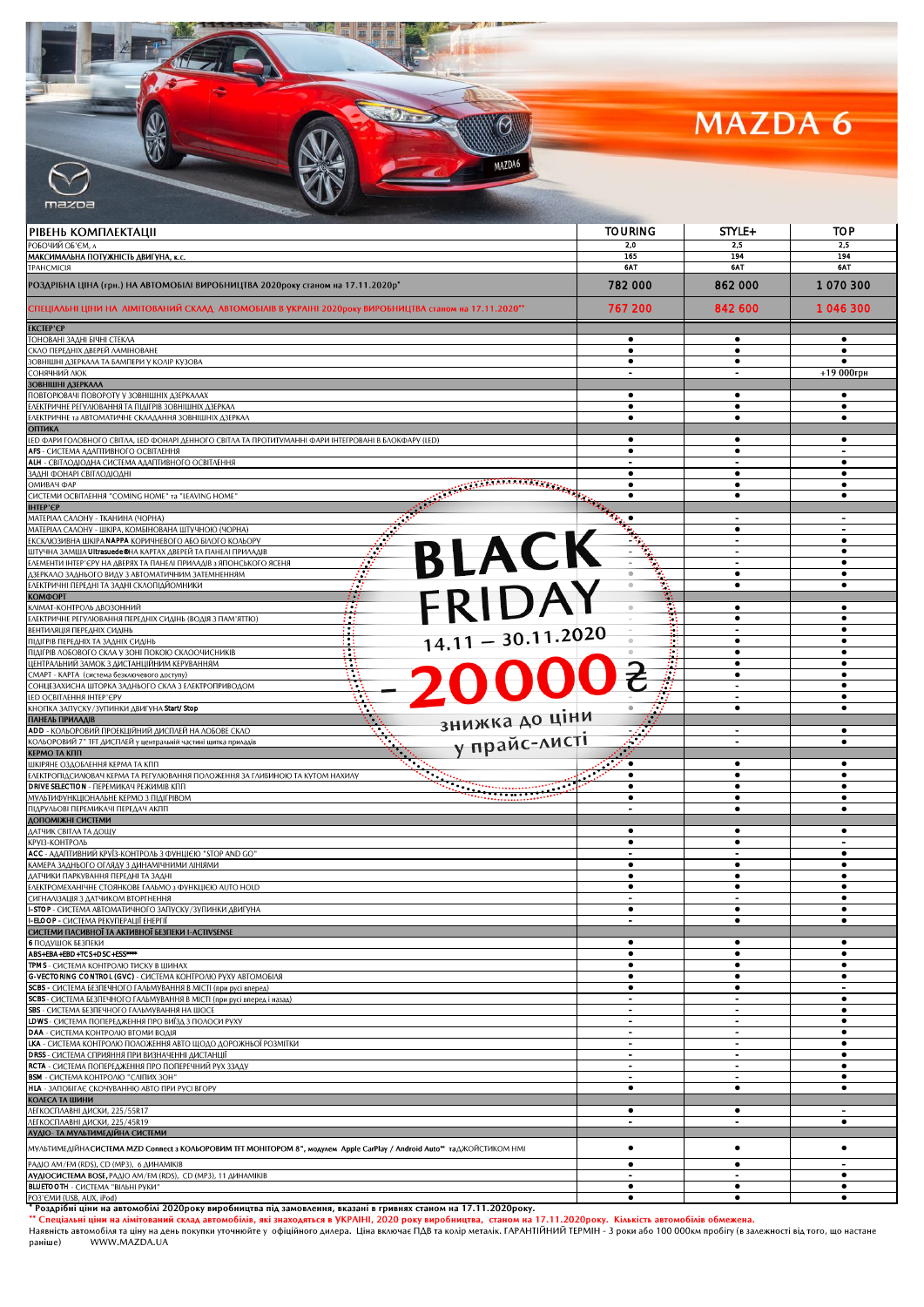## MAZDA 6

|                                                                                                                                                                                           | <b>TOURING</b> | STYLE+                                     | TOP                    |
|-------------------------------------------------------------------------------------------------------------------------------------------------------------------------------------------|----------------|--------------------------------------------|------------------------|
| РІВЕНЬ КОМПЛЕКТАЦІІ<br>ОБОЧИЙ ОБ'ЄМ, ∧                                                                                                                                                    | 2,0            | 2,5                                        | 2,5                    |
| ААКСИМАЛЬНА ПОТУЖНІСТЬ ДВИГУНА, к.с.                                                                                                                                                      | 165            | 194                                        | 194                    |
| PAHCMICIЯ                                                                                                                                                                                 | 6AT            | 6AT                                        | 6AT                    |
| °OЗДРІБНА ЦІНА (грн.) НА АВТОМОБІЛІ ВИРОБНИЦТВА 2020року станом на 17.11.2020р*                                                                                                           | 782 000        | 862 000                                    | 1070300                |
| "СПЕЦІАЛЬНІ ЦІНИ НА  ЛІМІТОВАНИЙ СКЛАД  АВТОМОБІЛІВ В УКРАІНІ 2020року ВИРОБНИЦТВА станом на 17.11.2020                                                                                   | 767 200        | 842 600                                    | 1 046 300              |
| KCTEP'€P                                                                                                                                                                                  |                |                                            |                        |
| ОНОВАНІ ЗАДНІ БІЧНІ СТЕКЛА<br>:КЛО ПЕРЕДНІХ ДВЕРЕЙ ЛАМІНОВАНЕ                                                                                                                             | ٠              | ٠<br>$\bullet$                             | ٠                      |
| ОВНІШНІ ДЗЕРКАЛА ТА БАМПЕРИ У КОЛІР КУЗОВА                                                                                                                                                |                | ٠                                          |                        |
| СОНЯЧНИЙ ЛЮК<br>ОВНІШНІ ДЗЕРКАЛА                                                                                                                                                          |                |                                            | +19 000грн             |
| ІОВТОРЮВАЧІ ПОВОРОТУ У ЗОВНІШНІХ ДЗЕРКАЛАХ                                                                                                                                                | $\bullet$      | $\bullet$                                  | ٠                      |
| ЛЕКТРИЧНЕ РЕГУЛЮВАННЯ ТА ПІДІГРІВ ЗОВНІШНІХ ДЗЕРКАЛ                                                                                                                                       | $\bullet$      | ٠                                          | $\bullet$              |
| ЛЕКТРИЧНЕ та АВТОМАТИЧНЕ СКЛАДАННЯ ЗОВНІШНІХ ДЗЕРКАЛ<br><b>ЭПТИКА</b>                                                                                                                     | ٠              | ٠                                          | ٠                      |
| ЕD ФАРИ ГОЛОВНОГО СВІТЛА, LED ФОНАРІ ДЕННОГО СВІТЛА ТА ПРОТИТУМАННІ ФАРИ ІНТЕГРОВАНІ В БЛОКФАРУ (LED)                                                                                     | ٠              | ٠                                          | ٠                      |
| <b>\FS</b> - СИСТЕМА АДАПТИВНОГО ОСВІТЛЕННЯ<br><b>ІLH</b> - СВІТЛОДІОДНА СИСТЕМА АДАПТИВНОГО ОСВІТЛЕННЯ                                                                                   | $\bullet$      | $\bullet$                                  | ٠                      |
| АДНІ ФОНАРІ СВІТЛОДІОДНІ                                                                                                                                                                  | ٠              | ٠                                          | ٠                      |
| ARAN MARAKA MARAKA MARAKA DI BARAN DENGAN BERBEDA DI BAGI.<br>SEDELAH PERSEKAAN DI BAGI DI BAGI DI BAGI DI BAGI DI BAGI DI BAGI DI BAGI DI BAGI DI BAGI DI BAGI DI BAGI DI B<br>ЖИВАЧ ФАР |                |                                            |                        |
| "ИСТЕМИ ОСВІТЛЕННЯ "COMING HOME" та "LEAVING HOME<br><b>HTEP'€P</b>                                                                                                                       | ٠              | ٠                                          | ٠                      |
| ААТЕРІАЛ САЛОНУ - ТКАНИНА (ЧОРНА)                                                                                                                                                         |                |                                            |                        |
| ААТЕРІАЛ САЛОНУ - ШКІРА, КОМБІНОВАНА ШТУЧНОЮ (ЧОРНА)<br>BLACK<br><b>КСКЛЮЗИВНА ШКІРА NAPPA КОРИЧНЕВОГО АБО БІЛОГО КОЛЬОРУ</b>                                                             |                | ٠<br>$\blacksquare$                        | ٠                      |
| ЦТУЧНА ЗАМША <b>Ultrasuede®</b> НА КАРТАХ ДВЕРЕЙ ТА ПАНЕЛІ ПРИЛАДІВ                                                                                                                       |                |                                            | ٠                      |
| ЛЕМЕНТИ ІНТЕР'ЄРУ НА ДВЕРЯХ ТА ПАНЕЛІ ПРИЛАДІВ з ЯПОНСЬКОГО ЯСЕНЯ                                                                                                                         |                | $\blacksquare$<br>$\bullet$                | $\bullet$<br>٠         |
| ЗЕРКАЛО ЗАДНЬОГО ВИДУ З АВТОМАТИЧНИМ ЗАТЕМНЕННЯМ<br>ЛЕКТРИЧНІ ПЕРЕДНІ ТА ЗАДНІ СКЛОПІДЙОМНИКИ                                                                                             |                | ٠                                          | ٠                      |
| FRIDAY<br><b>TOOMOO</b>                                                                                                                                                                   |                |                                            |                        |
| Н<br>«ЛІМАТ-КОНТРОЛЬ ДВОЗОННИЙ<br>ЛЕКТРИЧНЕ РЕГУЛЮВАННЯ ПЕРЕДНІХ СИДІНЬ (ВОДІЯ З ПАМ'ЯТТЮ)                                                                                                | Ħ              | ٠<br>$\bullet$                             | ٠<br>$\bullet$         |
| ЕНТИЛЯЦІЯ ПЕРЕДНІХ СИДІНЬ                                                                                                                                                                 | H              |                                            |                        |
| $14.11 - 30.11.2020$<br>ІІДІГРІВ ПЕРЕДНІХ ТА ЗАДНІХ СИДІНЬ<br>ІІДІГРІВ ЛОБОВОГО СКЛА У ЗОНІ ПОКОЮ СКЛООЧИСНИКІВ                                                                           | 1 I<br>: :     | ٠<br>٠                                     | ٠                      |
| ІЕНТРАЛЬНИЙ ЗАМОК З ДИСТАНЦІЙНИМ КЕРУВАННЯМ                                                                                                                                               |                | ٠                                          | ٠                      |
| 20000a<br>: МАРТ - КАРТА (система безключевого доступу)                                                                                                                                   |                | $\bullet$                                  | $\bullet$              |
| ОНЦЕЗАХИСНА ШТОРКА ЗАДНЬОГО СКЛА З ЕЛЕКТРОПРИВОДОМ<br>ЕD ОСВІТЛЕННЯ ІНТЕР'ЄРУ                                                                                                             |                | $\overline{\phantom{a}}$<br>$\blacksquare$ | ٠<br>٠                 |
| :НОПКА ЗАПУСКУ/ЗУПИНКИ ДВИГУНА Start/Stop                                                                                                                                                 |                | ٠                                          | ٠                      |
| знижка до ціни<br>ІАНЕЛЬ ПРИЛАДІВ<br><b>\DD</b> - КОЛЬОРОВИЙ ПРОЕКЦІЙНИЙ ДИСПЛЕЙ НА ЛОБОВЕ СКЛО                                                                                           |                | $\overline{\phantom{a}}$                   | ٠                      |
| у прайс-листі<br>ОЛЬОРОВИЙ 7" ТЕТ ДИСПЛЕЙ у центральній частині щитка приладів                                                                                                            |                |                                            | $\bullet$              |
| ЕРМО ТА КПП<br>ЦКІРЯНЕ ОЗДОБЛЕННЯ КЕРМА ТА КПП                                                                                                                                            | ٠              | ٠                                          |                        |
| ЛЕКТРОПІДСИЛЮВАЧ КЕРМА ТА РЕГУЛЮВАННЯ ПОЛОЖЕННЯ ЗА ГЛИБИНОЮ ТА КУТОМ НАХИЛУ                                                                                                               | $\bullet$      | ٠                                          | ٠                      |
| <u>elisten maailmaneetti s</u><br><b>DRIVE SELECTION - ΠΕΡΕΜΜΚΑΥ ΡΕЖИМІВ ΚΠΠ</b>                                                                                                          | $\bullet$      | $\bullet$                                  | $\bullet$              |
| ЛУЛЬТИФУНКЦІОНАЛЬНЕ КЕРМО З ПІДІГРІВОМ<br>ІІДРУЛЬОВІ ПЕРЕМИКАЧІ ПЕРЕДАЧ АКПП                                                                                                              | ٠<br>$\sim$    | ٠<br>٠                                     | ٠<br>$\bullet$         |
| ОПОМІЖНІ СИСТЕМИ                                                                                                                                                                          |                |                                            |                        |
| АТЧИК СВІТЛА ТА ДОЩУ<br>РУІЗ-КОНТРОЛЬ                                                                                                                                                     | ٠<br>$\bullet$ | ٠<br>$\bullet$                             | ٠                      |
| <b>АСС</b> - АДАПТИВНИЙ КРУЇЗ-КОНТРОЛЬ З ФУНЦІЄЮ "STOP AND GO"                                                                                                                            |                |                                            | ٠                      |
| АМЕРА ЗАДНЬОГО ОГЛЯДУ З ДИНАМІЧНИМИ ЛІНІЯМИ<br>АТЧИКИ ПАРКУВАННЯ ПЕРЕДНІ ТА ЗАДНІ                                                                                                         | $\bullet$      | ٠<br>٠                                     | ٠                      |
| ЛЕКТРОМЕХАНІЧНЕ СТОЯНКОВЕ ГАЛЬМО з ФУНКЦІЄЮ AUTO HOLD                                                                                                                                     |                | ٠                                          |                        |
| ИГНАЛІЗАЦІЯ З ДАТЧИКОМ ВТОРГНЕННЯ                                                                                                                                                         |                |                                            | $\bullet$              |
| <b>-STOP</b> - СИСТЕМА АВТОМАТИЧНОГО ЗАПУСКУ/ЗУПИНКИ ДВИГУНА<br><b>-ELOOP -</b> СИСТЕМА РЕКУПЕРАЦІЇ ЕНЕРГІЇ                                                                               | $\sim$         | $\bullet$                                  | $\bullet$              |
| СИСТЕМИ ПАСИВНОЇ ТА АКТИВНОЇ БЕЗПЕКИ I-ACTIVSENSE                                                                                                                                         |                |                                            |                        |
| <b>• ПОДУШОК БЕЗПЕКИ</b><br>\BS+EBA+EBD+TCS+DSC+ESS****                                                                                                                                   | ٠<br>$\bullet$ | ٠<br>$\bullet$                             | ٠<br>$\bullet$         |
| PMS - СИСТЕМА КОНТРОЛЮ ТИСКУ В ШИНАХ                                                                                                                                                      | $\bullet$      | ٠                                          | $\bullet$              |
| G-VECTORING CONTROL (GVC) - СИСТЕМА КОНТРОЛЮ РУХУ АВТОМОБІЛЯ<br><b>CBS -</b> СИСТЕМА БЕЗПЕЧНОГО ГАЛЬМУВАННЯ В МІСТІ (при русі вперед)                                                     | ٠<br>٠         | ٠<br>٠                                     | ٠                      |
| <b>CBS</b> - СИСТЕМА БЕЗПЕЧНОГО ГАЛЬМУВАННЯ В МІСТІ (при русі вперед і назад)                                                                                                             |                | $\overline{\phantom{a}}$                   | ٠                      |
| <b>BS</b> - СИСТЕМА БЕЗПЕЧНОГО ГАЛЬМУВАННЯ НА ШОСЕ<br>DWS - СИСТЕМА ПОПЕРЕДЖЕННЯ ПРО ВИЇЗД З ПОЛОСИ РУХУ                                                                                  |                | $\overline{a}$<br>$\blacksquare$           | $\bullet$              |
| <b>DAA</b> - СИСТЕМА КОНТРОЛЮ ВТОМИ ВОДІЯ                                                                                                                                                 | $\sim$         | $\overline{\phantom{a}}$                   | $\bullet$<br>$\bullet$ |
| <b>КА</b> - СИСТЕМА КОНТРОЛЮ ПОЛОЖЕННЯ АВТО ЩОДО ДОРОЖНЬОЇ РОЗМІТКИ                                                                                                                       | $\blacksquare$ | $\overline{\phantom{a}}$                   | ٠                      |
| DRSS - СИСТЕМА СПРИЯННЯ ПРИ ВИЗНАЧЕННІ ДИСТАНЦІЇ<br><b>ССТА</b> - СИСТЕМА ПОПЕРЕДЖЕННЯ ПРО ПОПЕРЕЧНИЙ РУХ ЗЗАДУ                                                                           | $\blacksquare$ | $\overline{\phantom{a}}$<br>$\overline{a}$ | ٠<br>$\bullet$         |
| <b>SSM</b> - СИСТЕМА КОНТРОЛЮ "СЛІПИХ ЗОН"                                                                                                                                                | $\sim$         | $\qquad \qquad \blacksquare$               | ٠                      |
| <b>ILA - ЗАПОБІГАЄ СКОЧУВАННЮ АВТО ПРИ РУСІ ВГОРУ</b><br>ОЛЕСА ТА ШИНИ                                                                                                                    | ٠              | ٠                                          | ٠                      |
| «ЕГКОСПЛАВНІ ДИСКИ, 225/55R17                                                                                                                                                             | ٠              | ٠                                          |                        |
| <b>ЕГКОСПЛАВНІ ДИСКИ, 225/45R19</b>                                                                                                                                                       |                | $\blacksquare$                             | $\bullet$              |
| УДІО- ТА МУЛЬТИМЕДІЙНА СИСТЕМИ                                                                                                                                                            |                |                                            |                        |
| ЛУЛЬТИМЕДІЙНА СИСТЕМА MZD Connect з КОЛЬОРОВИМ ТЕТ МОНІТОРОМ 8", модулем Apple CarPlay / Android Auto™ та ДЖОЙСТИКОМ НМІ                                                                  | ٠              | ٠                                          | ٠                      |
| 'AДIO AM/FM (RDS), CD (MP3), 6 ДИНАМІКІВ<br><b>УДЮСИСТЕМА BOSE, PAAIO AM/FM (RDS), CD (MP3), 11 ДИНАМІКІВ</b>                                                                             | ٠<br>$\sim$    | ٠<br>$\blacksquare$                        | ٠                      |
| <b>ILUETOOTH</b> - СИСТЕМА "ВІЛЬНІ РУКИ"                                                                                                                                                  | $\bullet$      | $\bullet$                                  | ٠                      |
| 'ОЗ'ЄМИ (USB, AUX, iPod)                                                                                                                                                                  |                | ٠                                          |                        |

 $\bigcirc$ 

MAZDA6

**SINGLE** 

РОЗ'ЄМИ (USB, AUX, iPod)<br>"Роздібні ціни на автомобілі 2020року виробництва під замовлення, вказані в гривнях станом на 17.11.2020року.<br>"Спеціальні ціни на лімітований склад автомобілів, які знаходяться в УКРАІНІ, 2020 ро